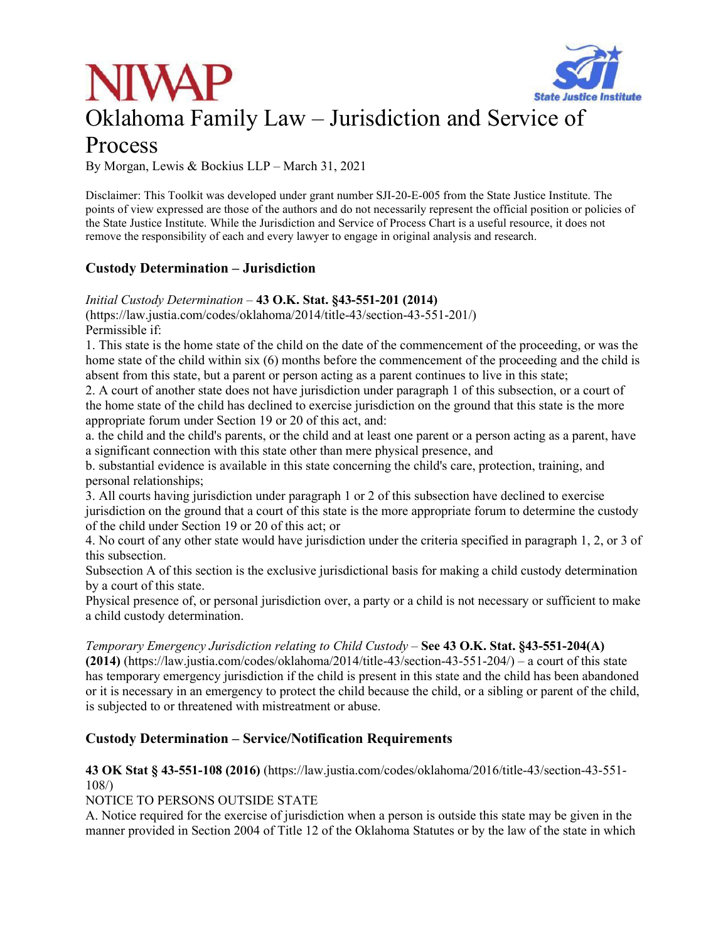



# Oklahoma Family Law – Jurisdiction and Service of

## Process

By Morgan, Lewis & Bockius LLP – March 31, 2021

Disclaimer: This Toolkit was developed under grant number SJI-20-E-005 from the State Justice Institute. The points of view expressed are those of the authors and do not necessarily represent the official position or policies of the State Justice Institute. While the Jurisdiction and Service of Process Chart is a useful resource, it does not remove the responsibility of each and every lawyer to engage in original analysis and research.

### **Custody Determination – Jurisdiction**

### *Initial Custody Determination* – **43 O.K. Stat. §43-551-201 (2014)**

(https://law.justia.com/codes/oklahoma/2014/title-43/section-43-551-201/) Permissible if:

1. This state is the home state of the child on the date of the commencement of the proceeding, or was the home state of the child within six (6) months before the commencement of the proceeding and the child is absent from this state, but a parent or person acting as a parent continues to live in this state;

2. A court of another state does not have jurisdiction under paragraph 1 of this subsection, or a court of the home state of the child has declined to exercise jurisdiction on the ground that this state is the more appropriate forum under Section 19 or 20 of this act, and:

a. the child and the child's parents, or the child and at least one parent or a person acting as a parent, have a significant connection with this state other than mere physical presence, and

b. substantial evidence is available in this state concerning the child's care, protection, training, and personal relationships;

3. All courts having jurisdiction under paragraph 1 or 2 of this subsection have declined to exercise jurisdiction on the ground that a court of this state is the more appropriate forum to determine the custody of the child under Section 19 or 20 of this act; or

4. No court of any other state would have jurisdiction under the criteria specified in paragraph 1, 2, or 3 of this subsection.

Subsection A of this section is the exclusive jurisdictional basis for making a child custody determination by a court of this state.

Physical presence of, or personal jurisdiction over, a party or a child is not necessary or sufficient to make a child custody determination.

*Temporary Emergency Jurisdiction relating to Child Custody* – **See 43 O.K. Stat. §43-551-204(A)** 

**(2014)** (https://law.justia.com/codes/oklahoma/2014/title-43/section-43-551-204/) – a court of this state has temporary emergency jurisdiction if the child is present in this state and the child has been abandoned or it is necessary in an emergency to protect the child because the child, or a sibling or parent of the child, is subjected to or threatened with mistreatment or abuse.

### **Custody Determination – Service/Notification Requirements**

**43 OK Stat § 43-551-108 (2016)** (https://law.justia.com/codes/oklahoma/2016/title-43/section-43-551- 108/)

NOTICE TO PERSONS OUTSIDE STATE

A. Notice required for the exercise of jurisdiction when a person is outside this state may be given in the manner provided in Section 2004 of Title 12 of the Oklahoma Statutes or by the law of the state in which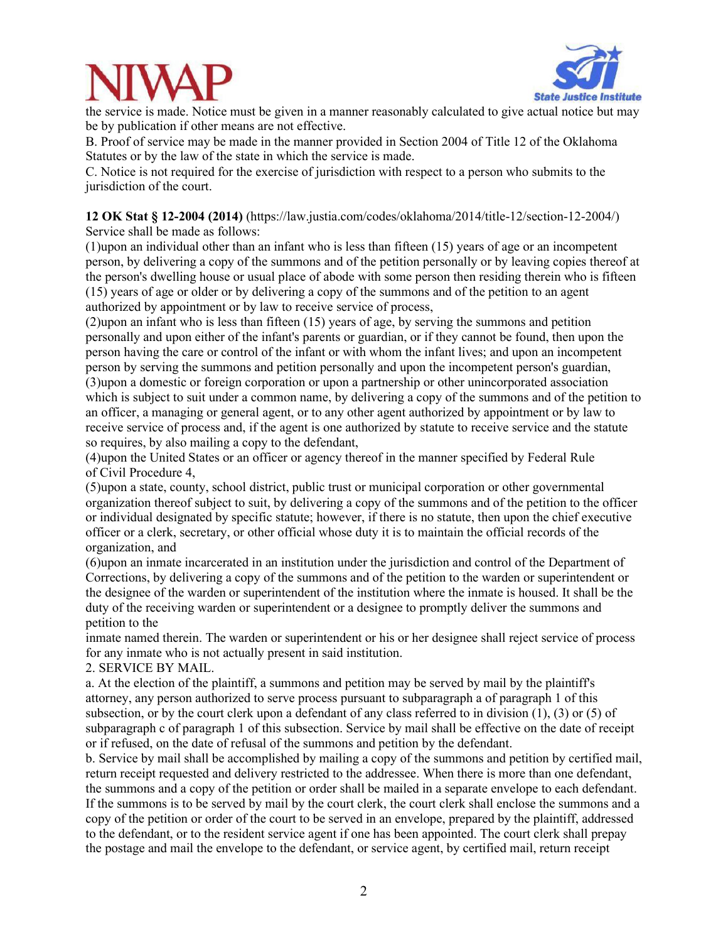



the service is made. Notice must be given in a manner reasonably calculated to give actual notice but may be by publication if other means are not effective.

B. Proof of service may be made in the manner provided in Section 2004 of Title 12 of the Oklahoma Statutes or by the law of the state in which the service is made.

C. Notice is not required for the exercise of jurisdiction with respect to a person who submits to the jurisdiction of the court.

**12 OK Stat § 12-2004 (2014)** (https://law.justia.com/codes/oklahoma/2014/title-12/section-12-2004/) Service shall be made as follows:

(1)upon an individual other than an infant who is less than fifteen (15) years of age or an incompetent person, by delivering a copy of the summons and of the petition personally or by leaving copies thereof at the person's dwelling house or usual place of abode with some person then residing therein who is fifteen (15) years of age or older or by delivering a copy of the summons and of the petition to an agent authorized by appointment or by law to receive service of process,

(2)upon an infant who is less than fifteen (15) years of age, by serving the summons and petition personally and upon either of the infant's parents or guardian, or if they cannot be found, then upon the person having the care or control of the infant or with whom the infant lives; and upon an incompetent person by serving the summons and petition personally and upon the incompetent person's guardian, (3)upon a domestic or foreign corporation or upon a partnership or other unincorporated association which is subject to suit under a common name, by delivering a copy of the summons and of the petition to an officer, a managing or general agent, or to any other agent authorized by appointment or by law to receive service of process and, if the agent is one authorized by statute to receive service and the statute so requires, by also mailing a copy to the defendant,

(4)upon the United States or an officer or agency thereof in the manner specified by Federal Rule of Civil Procedure 4,

(5)upon a state, county, school district, public trust or municipal corporation or other governmental organization thereof subject to suit, by delivering a copy of the summons and of the petition to the officer or individual designated by specific statute; however, if there is no statute, then upon the chief executive officer or a clerk, secretary, or other official whose duty it is to maintain the official records of the organization, and

(6)upon an inmate incarcerated in an institution under the jurisdiction and control of the Department of Corrections, by delivering a copy of the summons and of the petition to the warden or superintendent or the designee of the warden or superintendent of the institution where the inmate is housed. It shall be the duty of the receiving warden or superintendent or a designee to promptly deliver the summons and petition to the

inmate named therein. The warden or superintendent or his or her designee shall reject service of process for any inmate who is not actually present in said institution.

2. SERVICE BY MAIL.

a. At the election of the plaintiff, a summons and petition may be served by mail by the plaintiff's attorney, any person authorized to serve process pursuant to subparagraph a of paragraph 1 of this subsection, or by the court clerk upon a defendant of any class referred to in division  $(1)$ ,  $(3)$  or  $(5)$  of subparagraph c of paragraph 1 of this subsection. Service by mail shall be effective on the date of receipt or if refused, on the date of refusal of the summons and petition by the defendant.

b. Service by mail shall be accomplished by mailing a copy of the summons and petition by certified mail, return receipt requested and delivery restricted to the addressee. When there is more than one defendant, the summons and a copy of the petition or order shall be mailed in a separate envelope to each defendant. If the summons is to be served by mail by the court clerk, the court clerk shall enclose the summons and a copy of the petition or order of the court to be served in an envelope, prepared by the plaintiff, addressed to the defendant, or to the resident service agent if one has been appointed. The court clerk shall prepay the postage and mail the envelope to the defendant, or service agent, by certified mail, return receipt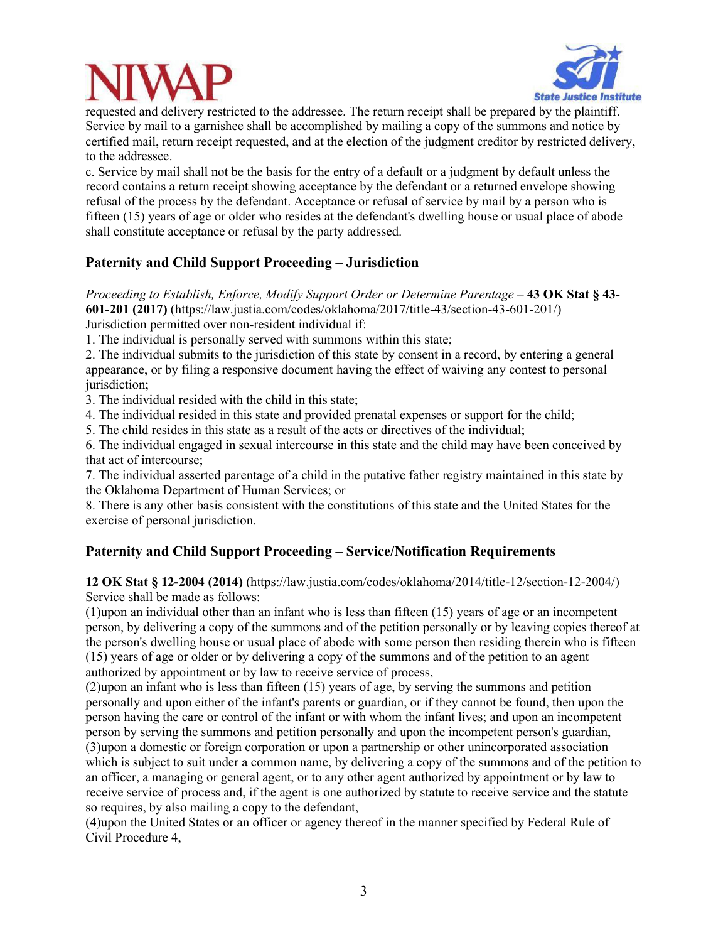



requested and delivery restricted to the addressee. The return receipt shall be prepared by the plaintiff. Service by mail to a garnishee shall be accomplished by mailing a copy of the summons and notice by certified mail, return receipt requested, and at the election of the judgment creditor by restricted delivery, to the addressee.

c. Service by mail shall not be the basis for the entry of a default or a judgment by default unless the record contains a return receipt showing acceptance by the defendant or a returned envelope showing refusal of the process by the defendant. Acceptance or refusal of service by mail by a person who is fifteen (15) years of age or older who resides at the defendant's dwelling house or usual place of abode shall constitute acceptance or refusal by the party addressed.

### **Paternity and Child Support Proceeding – Jurisdiction**

*Proceeding to Establish, Enforce, Modify Support Order or Determine Parentage* – **43 OK Stat § 43- 601-201 (2017)** (https://law.justia.com/codes/oklahoma/2017/title-43/section-43-601-201/) Jurisdiction permitted over non-resident individual if:

1. The individual is personally served with summons within this state;

2. The individual submits to the jurisdiction of this state by consent in a record, by entering a general appearance, or by filing a responsive document having the effect of waiving any contest to personal jurisdiction;

3. The individual resided with the child in this state;

4. The individual resided in this state and provided prenatal expenses or support for the child;

5. The child resides in this state as a result of the acts or directives of the individual;

6. The individual engaged in sexual intercourse in this state and the child may have been conceived by that act of intercourse;

7. The individual asserted parentage of a child in the putative father registry maintained in this state by the Oklahoma Department of Human Services; or

8. There is any other basis consistent with the constitutions of this state and the United States for the exercise of personal jurisdiction.

### **Paternity and Child Support Proceeding – Service/Notification Requirements**

**12 OK Stat § 12-2004 (2014)** (https://law.justia.com/codes/oklahoma/2014/title-12/section-12-2004/) Service shall be made as follows:

(1)upon an individual other than an infant who is less than fifteen (15) years of age or an incompetent person, by delivering a copy of the summons and of the petition personally or by leaving copies thereof at the person's dwelling house or usual place of abode with some person then residing therein who is fifteen (15) years of age or older or by delivering a copy of the summons and of the petition to an agent authorized by appointment or by law to receive service of process,

(2)upon an infant who is less than fifteen (15) years of age, by serving the summons and petition personally and upon either of the infant's parents or guardian, or if they cannot be found, then upon the person having the care or control of the infant or with whom the infant lives; and upon an incompetent person by serving the summons and petition personally and upon the incompetent person's guardian, (3)upon a domestic or foreign corporation or upon a partnership or other unincorporated association which is subject to suit under a common name, by delivering a copy of the summons and of the petition to an officer, a managing or general agent, or to any other agent authorized by appointment or by law to receive service of process and, if the agent is one authorized by statute to receive service and the statute so requires, by also mailing a copy to the defendant,

(4)upon the United States or an officer or agency thereof in the manner specified by Federal Rule of Civil Procedure 4,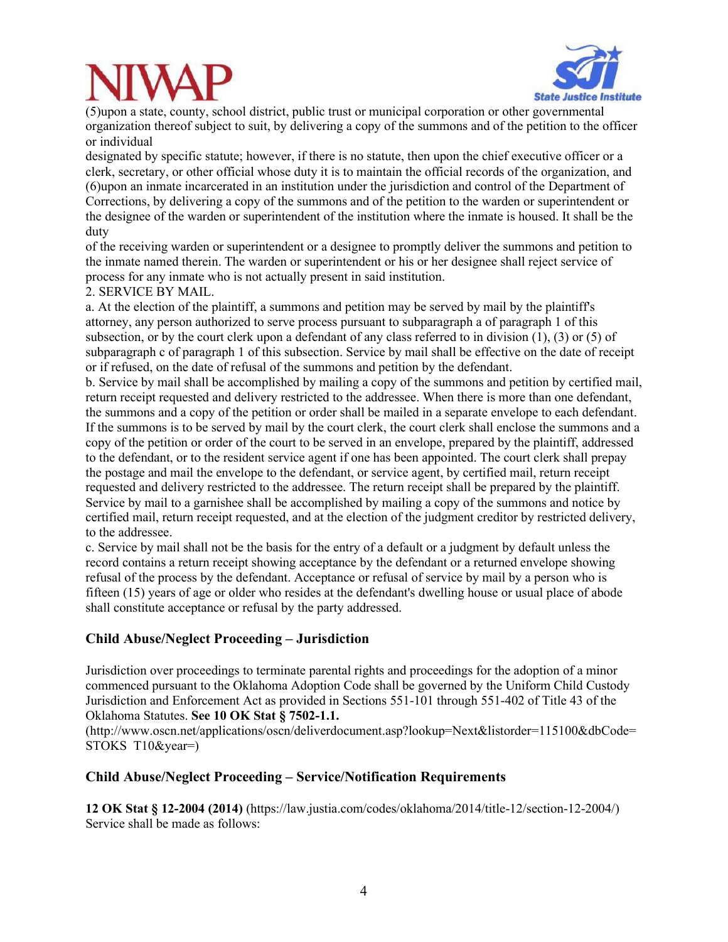



(5)upon a state, county, school district, public trust or municipal corporation or other governmental organization thereof subject to suit, by delivering a copy of the summons and of the petition to the officer or individual

designated by specific statute; however, if there is no statute, then upon the chief executive officer or a clerk, secretary, or other official whose duty it is to maintain the official records of the organization, and (6)upon an inmate incarcerated in an institution under the jurisdiction and control of the Department of Corrections, by delivering a copy of the summons and of the petition to the warden or superintendent or the designee of the warden or superintendent of the institution where the inmate is housed. It shall be the duty

of the receiving warden or superintendent or a designee to promptly deliver the summons and petition to the inmate named therein. The warden or superintendent or his or her designee shall reject service of process for any inmate who is not actually present in said institution.

### 2. SERVICE BY MAIL.

a. At the election of the plaintiff, a summons and petition may be served by mail by the plaintiff's attorney, any person authorized to serve process pursuant to subparagraph a of paragraph 1 of this subsection, or by the court clerk upon a defendant of any class referred to in division (1), (3) or (5) of subparagraph c of paragraph 1 of this subsection. Service by mail shall be effective on the date of receipt or if refused, on the date of refusal of the summons and petition by the defendant.

b. Service by mail shall be accomplished by mailing a copy of the summons and petition by certified mail, return receipt requested and delivery restricted to the addressee. When there is more than one defendant, the summons and a copy of the petition or order shall be mailed in a separate envelope to each defendant. If the summons is to be served by mail by the court clerk, the court clerk shall enclose the summons and a copy of the petition or order of the court to be served in an envelope, prepared by the plaintiff, addressed to the defendant, or to the resident service agent if one has been appointed. The court clerk shall prepay the postage and mail the envelope to the defendant, or service agent, by certified mail, return receipt requested and delivery restricted to the addressee. The return receipt shall be prepared by the plaintiff. Service by mail to a garnishee shall be accomplished by mailing a copy of the summons and notice by certified mail, return receipt requested, and at the election of the judgment creditor by restricted delivery, to the addressee.

c. Service by mail shall not be the basis for the entry of a default or a judgment by default unless the record contains a return receipt showing acceptance by the defendant or a returned envelope showing refusal of the process by the defendant. Acceptance or refusal of service by mail by a person who is fifteen (15) years of age or older who resides at the defendant's dwelling house or usual place of abode shall constitute acceptance or refusal by the party addressed.

### **Child Abuse/Neglect Proceeding – Jurisdiction**

Jurisdiction over proceedings to terminate parental rights and proceedings for the adoption of a minor commenced pursuant to the Oklahoma Adoption Code shall be governed by the Uniform Child Custody Jurisdiction and Enforcement Act as provided in Sections 551-101 through 551-402 of Title 43 of the Oklahoma Statutes. **See 10 OK Stat § 7502-1.1.**

(http://www.oscn.net/applications/oscn/deliverdocument.asp?lookup=Next&listorder=115100&dbCode= STOKS T10&year=)

### **Child Abuse/Neglect Proceeding – Service/Notification Requirements**

**12 OK Stat § 12-2004 (2014)** (https://law.justia.com/codes/oklahoma/2014/title-12/section-12-2004/) Service shall be made as follows: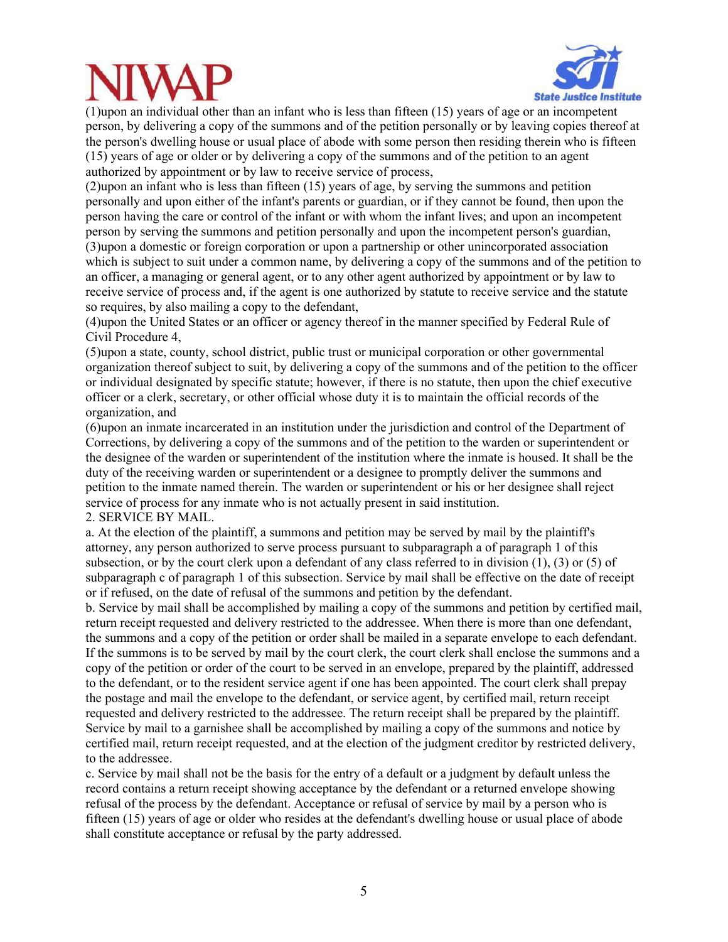



(1)upon an individual other than an infant who is less than fifteen (15) years of age or an incompetent person, by delivering a copy of the summons and of the petition personally or by leaving copies thereof at the person's dwelling house or usual place of abode with some person then residing therein who is fifteen (15) years of age or older or by delivering a copy of the summons and of the petition to an agent authorized by appointment or by law to receive service of process,

(2)upon an infant who is less than fifteen (15) years of age, by serving the summons and petition personally and upon either of the infant's parents or guardian, or if they cannot be found, then upon the person having the care or control of the infant or with whom the infant lives; and upon an incompetent person by serving the summons and petition personally and upon the incompetent person's guardian, (3)upon a domestic or foreign corporation or upon a partnership or other unincorporated association which is subject to suit under a common name, by delivering a copy of the summons and of the petition to an officer, a managing or general agent, or to any other agent authorized by appointment or by law to receive service of process and, if the agent is one authorized by statute to receive service and the statute so requires, by also mailing a copy to the defendant,

(4)upon the United States or an officer or agency thereof in the manner specified by Federal Rule of Civil Procedure 4,

(5)upon a state, county, school district, public trust or municipal corporation or other governmental organization thereof subject to suit, by delivering a copy of the summons and of the petition to the officer or individual designated by specific statute; however, if there is no statute, then upon the chief executive officer or a clerk, secretary, or other official whose duty it is to maintain the official records of the organization, and

(6)upon an inmate incarcerated in an institution under the jurisdiction and control of the Department of Corrections, by delivering a copy of the summons and of the petition to the warden or superintendent or the designee of the warden or superintendent of the institution where the inmate is housed. It shall be the duty of the receiving warden or superintendent or a designee to promptly deliver the summons and petition to the inmate named therein. The warden or superintendent or his or her designee shall reject service of process for any inmate who is not actually present in said institution.

### 2. SERVICE BY MAIL.

a. At the election of the plaintiff, a summons and petition may be served by mail by the plaintiff's attorney, any person authorized to serve process pursuant to subparagraph a of paragraph 1 of this subsection, or by the court clerk upon a defendant of any class referred to in division (1), (3) or (5) of subparagraph c of paragraph 1 of this subsection. Service by mail shall be effective on the date of receipt or if refused, on the date of refusal of the summons and petition by the defendant.

b. Service by mail shall be accomplished by mailing a copy of the summons and petition by certified mail, return receipt requested and delivery restricted to the addressee. When there is more than one defendant, the summons and a copy of the petition or order shall be mailed in a separate envelope to each defendant. If the summons is to be served by mail by the court clerk, the court clerk shall enclose the summons and a copy of the petition or order of the court to be served in an envelope, prepared by the plaintiff, addressed to the defendant, or to the resident service agent if one has been appointed. The court clerk shall prepay the postage and mail the envelope to the defendant, or service agent, by certified mail, return receipt requested and delivery restricted to the addressee. The return receipt shall be prepared by the plaintiff. Service by mail to a garnishee shall be accomplished by mailing a copy of the summons and notice by certified mail, return receipt requested, and at the election of the judgment creditor by restricted delivery, to the addressee.

c. Service by mail shall not be the basis for the entry of a default or a judgment by default unless the record contains a return receipt showing acceptance by the defendant or a returned envelope showing refusal of the process by the defendant. Acceptance or refusal of service by mail by a person who is fifteen (15) years of age or older who resides at the defendant's dwelling house or usual place of abode shall constitute acceptance or refusal by the party addressed.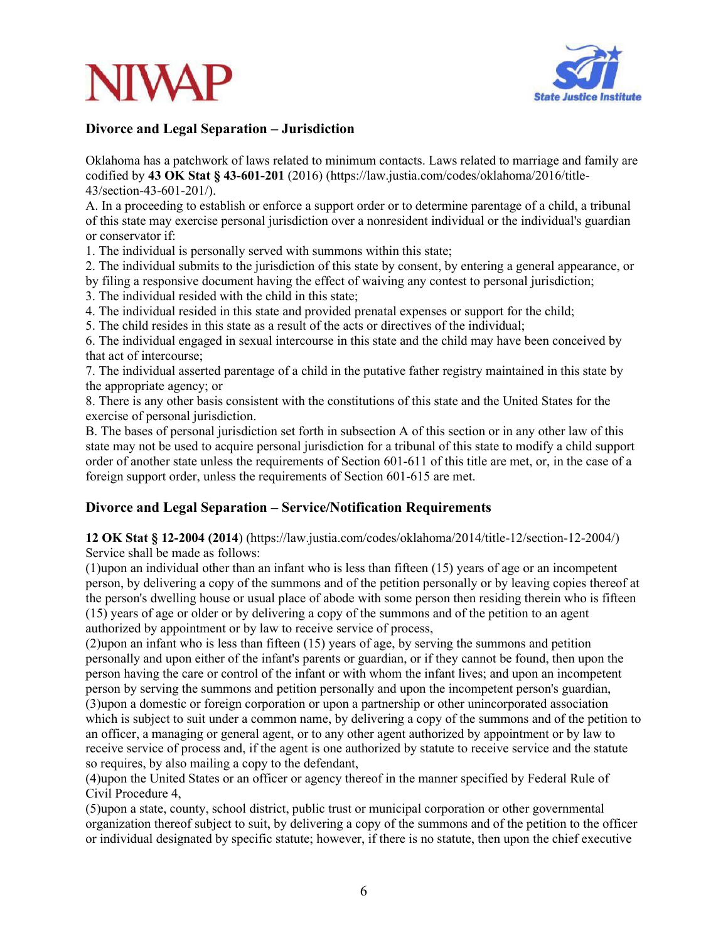# **NIW**



### **Divorce and Legal Separation – Jurisdiction**

Oklahoma has a patchwork of laws related to minimum contacts. Laws related to marriage and family are codified by **43 OK Stat § 43-601-201** (2016) (https://law.justia.com/codes/oklahoma/2016/title-43/section-43-601-201/).

A. In a proceeding to establish or enforce a support order or to determine parentage of a child, a tribunal of this state may exercise personal jurisdiction over a nonresident individual or the individual's guardian or conservator if:

1. The individual is personally served with summons within this state;

2. The individual submits to the jurisdiction of this state by consent, by entering a general appearance, or by filing a responsive document having the effect of waiving any contest to personal jurisdiction;

- 3. The individual resided with the child in this state;
- 4. The individual resided in this state and provided prenatal expenses or support for the child;

5. The child resides in this state as a result of the acts or directives of the individual;

6. The individual engaged in sexual intercourse in this state and the child may have been conceived by that act of intercourse;

7. The individual asserted parentage of a child in the putative father registry maintained in this state by the appropriate agency; or

8. There is any other basis consistent with the constitutions of this state and the United States for the exercise of personal jurisdiction.

B. The bases of personal jurisdiction set forth in subsection A of this section or in any other law of this state may not be used to acquire personal jurisdiction for a tribunal of this state to modify a child support order of another state unless the requirements of Section 601-611 of this title are met, or, in the case of a foreign support order, unless the requirements of Section 601-615 are met.

### **Divorce and Legal Separation – Service/Notification Requirements**

**12 OK Stat § 12-2004 (2014**) (https://law.justia.com/codes/oklahoma/2014/title-12/section-12-2004/) Service shall be made as follows:

(1)upon an individual other than an infant who is less than fifteen (15) years of age or an incompetent person, by delivering a copy of the summons and of the petition personally or by leaving copies thereof at the person's dwelling house or usual place of abode with some person then residing therein who is fifteen (15) years of age or older or by delivering a copy of the summons and of the petition to an agent authorized by appointment or by law to receive service of process,

(2)upon an infant who is less than fifteen (15) years of age, by serving the summons and petition personally and upon either of the infant's parents or guardian, or if they cannot be found, then upon the person having the care or control of the infant or with whom the infant lives; and upon an incompetent person by serving the summons and petition personally and upon the incompetent person's guardian, (3)upon a domestic or foreign corporation or upon a partnership or other unincorporated association which is subject to suit under a common name, by delivering a copy of the summons and of the petition to an officer, a managing or general agent, or to any other agent authorized by appointment or by law to receive service of process and, if the agent is one authorized by statute to receive service and the statute so requires, by also mailing a copy to the defendant,

(4)upon the United States or an officer or agency thereof in the manner specified by Federal Rule of Civil Procedure 4,

(5)upon a state, county, school district, public trust or municipal corporation or other governmental organization thereof subject to suit, by delivering a copy of the summons and of the petition to the officer or individual designated by specific statute; however, if there is no statute, then upon the chief executive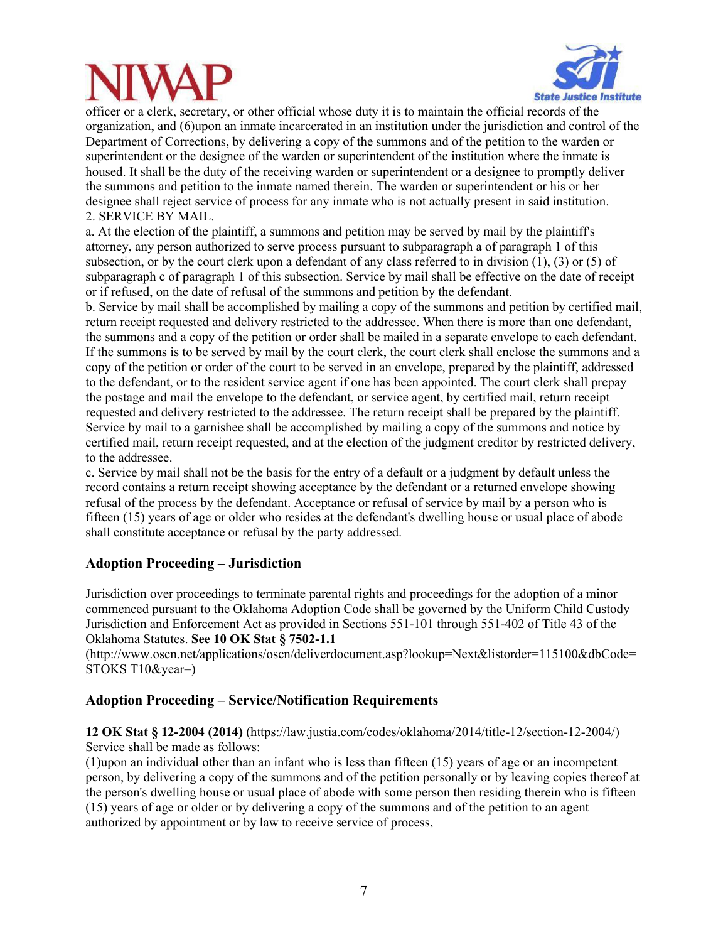

officer or a clerk, secretary, or other official whose duty it is to maintain the official records of the organization, and (6)upon an inmate incarcerated in an institution under the jurisdiction and control of the Department of Corrections, by delivering a copy of the summons and of the petition to the warden or superintendent or the designee of the warden or superintendent of the institution where the inmate is housed. It shall be the duty of the receiving warden or superintendent or a designee to promptly deliver the summons and petition to the inmate named therein. The warden or superintendent or his or her designee shall reject service of process for any inmate who is not actually present in said institution. 2. SERVICE BY MAIL.

a. At the election of the plaintiff, a summons and petition may be served by mail by the plaintiff's attorney, any person authorized to serve process pursuant to subparagraph a of paragraph 1 of this subsection, or by the court clerk upon a defendant of any class referred to in division (1), (3) or (5) of subparagraph c of paragraph 1 of this subsection. Service by mail shall be effective on the date of receipt or if refused, on the date of refusal of the summons and petition by the defendant.

b. Service by mail shall be accomplished by mailing a copy of the summons and petition by certified mail, return receipt requested and delivery restricted to the addressee. When there is more than one defendant, the summons and a copy of the petition or order shall be mailed in a separate envelope to each defendant. If the summons is to be served by mail by the court clerk, the court clerk shall enclose the summons and a copy of the petition or order of the court to be served in an envelope, prepared by the plaintiff, addressed to the defendant, or to the resident service agent if one has been appointed. The court clerk shall prepay the postage and mail the envelope to the defendant, or service agent, by certified mail, return receipt requested and delivery restricted to the addressee. The return receipt shall be prepared by the plaintiff. Service by mail to a garnishee shall be accomplished by mailing a copy of the summons and notice by certified mail, return receipt requested, and at the election of the judgment creditor by restricted delivery, to the addressee.

c. Service by mail shall not be the basis for the entry of a default or a judgment by default unless the record contains a return receipt showing acceptance by the defendant or a returned envelope showing refusal of the process by the defendant. Acceptance or refusal of service by mail by a person who is fifteen (15) years of age or older who resides at the defendant's dwelling house or usual place of abode shall constitute acceptance or refusal by the party addressed.

### **Adoption Proceeding – Jurisdiction**

Jurisdiction over proceedings to terminate parental rights and proceedings for the adoption of a minor commenced pursuant to the Oklahoma Adoption Code shall be governed by the Uniform Child Custody Jurisdiction and Enforcement Act as provided in Sections 551-101 through 551-402 of Title 43 of the Oklahoma Statutes. **See 10 OK Stat § 7502-1.1**

(http://www.oscn.net/applications/oscn/deliverdocument.asp?lookup=Next&listorder=115100&dbCode= STOKS T10&year=)

## **Adoption Proceeding – Service/Notification Requirements**

**12 OK Stat § 12-2004 (2014)** (https://law.justia.com/codes/oklahoma/2014/title-12/section-12-2004/) Service shall be made as follows:

(1)upon an individual other than an infant who is less than fifteen (15) years of age or an incompetent person, by delivering a copy of the summons and of the petition personally or by leaving copies thereof at the person's dwelling house or usual place of abode with some person then residing therein who is fifteen (15) years of age or older or by delivering a copy of the summons and of the petition to an agent authorized by appointment or by law to receive service of process,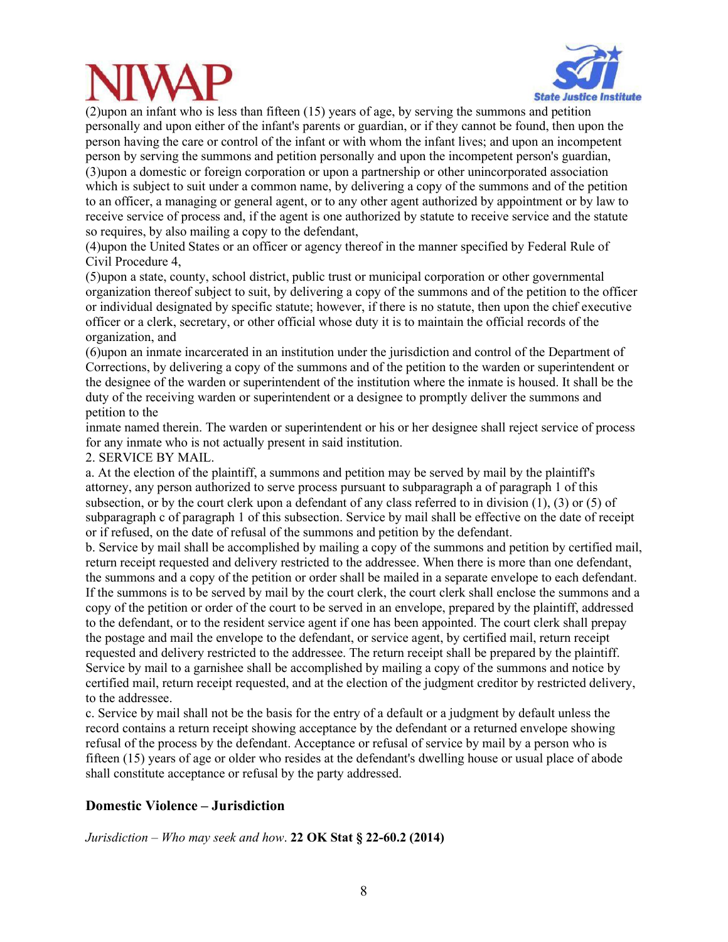

(2)upon an infant who is less than fifteen (15) years of age, by serving the summons and petition personally and upon either of the infant's parents or guardian, or if they cannot be found, then upon the person having the care or control of the infant or with whom the infant lives; and upon an incompetent person by serving the summons and petition personally and upon the incompetent person's guardian, (3)upon a domestic or foreign corporation or upon a partnership or other unincorporated association which is subject to suit under a common name, by delivering a copy of the summons and of the petition to an officer, a managing or general agent, or to any other agent authorized by appointment or by law to receive service of process and, if the agent is one authorized by statute to receive service and the statute so requires, by also mailing a copy to the defendant,

(4)upon the United States or an officer or agency thereof in the manner specified by Federal Rule of Civil Procedure 4,

(5)upon a state, county, school district, public trust or municipal corporation or other governmental organization thereof subject to suit, by delivering a copy of the summons and of the petition to the officer or individual designated by specific statute; however, if there is no statute, then upon the chief executive officer or a clerk, secretary, or other official whose duty it is to maintain the official records of the organization, and

(6)upon an inmate incarcerated in an institution under the jurisdiction and control of the Department of Corrections, by delivering a copy of the summons and of the petition to the warden or superintendent or the designee of the warden or superintendent of the institution where the inmate is housed. It shall be the duty of the receiving warden or superintendent or a designee to promptly deliver the summons and petition to the

inmate named therein. The warden or superintendent or his or her designee shall reject service of process for any inmate who is not actually present in said institution.

2. SERVICE BY MAIL.

a. At the election of the plaintiff, a summons and petition may be served by mail by the plaintiff's attorney, any person authorized to serve process pursuant to subparagraph a of paragraph 1 of this subsection, or by the court clerk upon a defendant of any class referred to in division (1), (3) or (5) of subparagraph c of paragraph 1 of this subsection. Service by mail shall be effective on the date of receipt or if refused, on the date of refusal of the summons and petition by the defendant.

b. Service by mail shall be accomplished by mailing a copy of the summons and petition by certified mail, return receipt requested and delivery restricted to the addressee. When there is more than one defendant, the summons and a copy of the petition or order shall be mailed in a separate envelope to each defendant. If the summons is to be served by mail by the court clerk, the court clerk shall enclose the summons and a copy of the petition or order of the court to be served in an envelope, prepared by the plaintiff, addressed to the defendant, or to the resident service agent if one has been appointed. The court clerk shall prepay the postage and mail the envelope to the defendant, or service agent, by certified mail, return receipt requested and delivery restricted to the addressee. The return receipt shall be prepared by the plaintiff. Service by mail to a garnishee shall be accomplished by mailing a copy of the summons and notice by certified mail, return receipt requested, and at the election of the judgment creditor by restricted delivery, to the addressee.

c. Service by mail shall not be the basis for the entry of a default or a judgment by default unless the record contains a return receipt showing acceptance by the defendant or a returned envelope showing refusal of the process by the defendant. Acceptance or refusal of service by mail by a person who is fifteen (15) years of age or older who resides at the defendant's dwelling house or usual place of abode shall constitute acceptance or refusal by the party addressed.

### **Domestic Violence – Jurisdiction**

*Jurisdiction – Who may seek and how*. **22 OK Stat § 22-60.2 (2014)**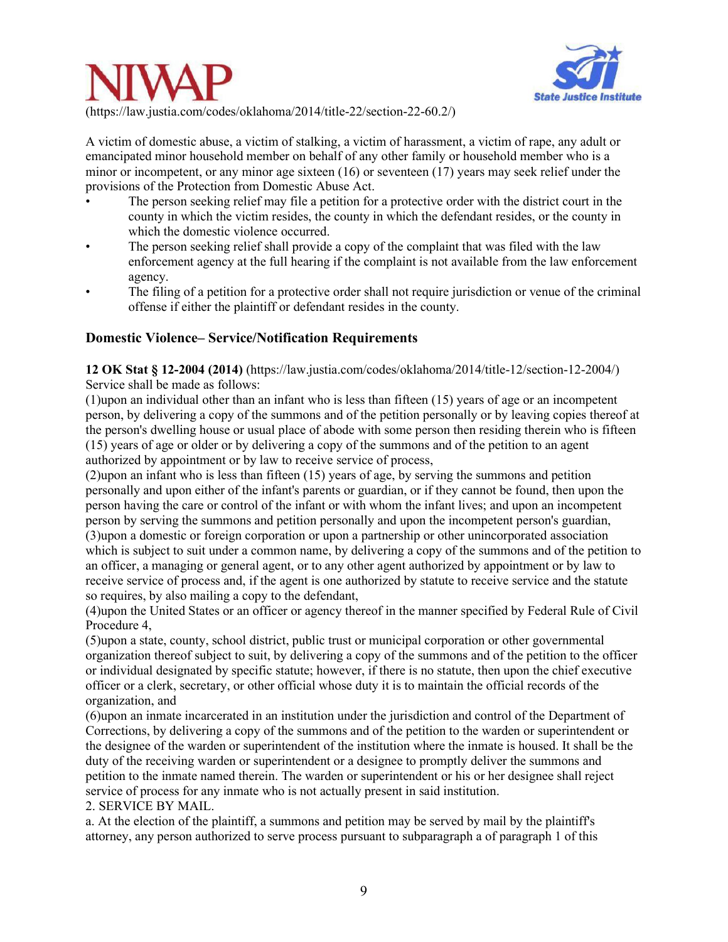



(https://law.justia.com/codes/oklahoma/2014/title-22/section-22-60.2/)

A victim of domestic abuse, a victim of stalking, a victim of harassment, a victim of rape, any adult or emancipated minor household member on behalf of any other family or household member who is a minor or incompetent, or any minor age sixteen (16) or seventeen (17) years may seek relief under the provisions of the Protection from Domestic Abuse Act.

- The person seeking relief may file a petition for a protective order with the district court in the county in which the victim resides, the county in which the defendant resides, or the county in which the domestic violence occurred.
- The person seeking relief shall provide a copy of the complaint that was filed with the law enforcement agency at the full hearing if the complaint is not available from the law enforcement agency.
- The filing of a petition for a protective order shall not require jurisdiction or venue of the criminal offense if either the plaintiff or defendant resides in the county.

### **Domestic Violence– Service/Notification Requirements**

**12 OK Stat § 12-2004 (2014)** (https://law.justia.com/codes/oklahoma/2014/title-12/section-12-2004/) Service shall be made as follows:

(1)upon an individual other than an infant who is less than fifteen (15) years of age or an incompetent person, by delivering a copy of the summons and of the petition personally or by leaving copies thereof at the person's dwelling house or usual place of abode with some person then residing therein who is fifteen (15) years of age or older or by delivering a copy of the summons and of the petition to an agent authorized by appointment or by law to receive service of process,

(2)upon an infant who is less than fifteen (15) years of age, by serving the summons and petition personally and upon either of the infant's parents or guardian, or if they cannot be found, then upon the person having the care or control of the infant or with whom the infant lives; and upon an incompetent person by serving the summons and petition personally and upon the incompetent person's guardian, (3)upon a domestic or foreign corporation or upon a partnership or other unincorporated association which is subject to suit under a common name, by delivering a copy of the summons and of the petition to an officer, a managing or general agent, or to any other agent authorized by appointment or by law to receive service of process and, if the agent is one authorized by statute to receive service and the statute so requires, by also mailing a copy to the defendant,

(4)upon the United States or an officer or agency thereof in the manner specified by Federal Rule of Civil Procedure 4,

(5)upon a state, county, school district, public trust or municipal corporation or other governmental organization thereof subject to suit, by delivering a copy of the summons and of the petition to the officer or individual designated by specific statute; however, if there is no statute, then upon the chief executive officer or a clerk, secretary, or other official whose duty it is to maintain the official records of the organization, and

(6)upon an inmate incarcerated in an institution under the jurisdiction and control of the Department of Corrections, by delivering a copy of the summons and of the petition to the warden or superintendent or the designee of the warden or superintendent of the institution where the inmate is housed. It shall be the duty of the receiving warden or superintendent or a designee to promptly deliver the summons and petition to the inmate named therein. The warden or superintendent or his or her designee shall reject service of process for any inmate who is not actually present in said institution.

2. SERVICE BY MAIL.

a. At the election of the plaintiff, a summons and petition may be served by mail by the plaintiff's attorney, any person authorized to serve process pursuant to subparagraph a of paragraph 1 of this